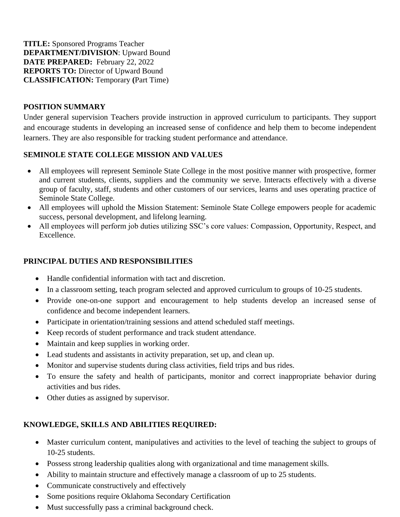**TITLE:** Sponsored Programs Teacher **DEPARTMENT/DIVISION**: Upward Bound **DATE PREPARED:** February 22, 2022 **REPORTS TO:** Director of Upward Bound **CLASSIFICATION:** Temporary **(**Part Time)

### **POSITION SUMMARY**

Under general supervision Teachers provide instruction in approved curriculum to participants. They support and encourage students in developing an increased sense of confidence and help them to become independent learners. They are also responsible for tracking student performance and attendance.

#### **SEMINOLE STATE COLLEGE MISSION AND VALUES**

- All employees will represent Seminole State College in the most positive manner with prospective, former and current students, clients, suppliers and the community we serve. Interacts effectively with a diverse group of faculty, staff, students and other customers of our services, learns and uses operating practice of Seminole State College.
- All employees will uphold the Mission Statement: Seminole State College empowers people for academic success, personal development, and lifelong learning.
- All employees will perform job duties utilizing SSC's core values: Compassion, Opportunity, Respect, and Excellence.

# **PRINCIPAL DUTIES AND RESPONSIBILITIES**

- Handle confidential information with tact and discretion.
- In a classroom setting, teach program selected and approved curriculum to groups of 10-25 students.
- Provide one-on-one support and encouragement to help students develop an increased sense of confidence and become independent learners.
- Participate in orientation/training sessions and attend scheduled staff meetings.
- Keep records of student performance and track student attendance.
- Maintain and keep supplies in working order.
- Lead students and assistants in activity preparation, set up, and clean up.
- Monitor and supervise students during class activities, field trips and bus rides.
- To ensure the safety and health of participants, monitor and correct inappropriate behavior during activities and bus rides.
- Other duties as assigned by supervisor.

# **KNOWLEDGE, SKILLS AND ABILITIES REQUIRED:**

- Master curriculum content, manipulatives and activities to the level of teaching the subject to groups of 10-25 students.
- Possess strong leadership qualities along with organizational and time management skills.
- Ability to maintain structure and effectively manage a classroom of up to 25 students.
- Communicate constructively and effectively
- Some positions require Oklahoma Secondary Certification
- Must successfully pass a criminal background check.